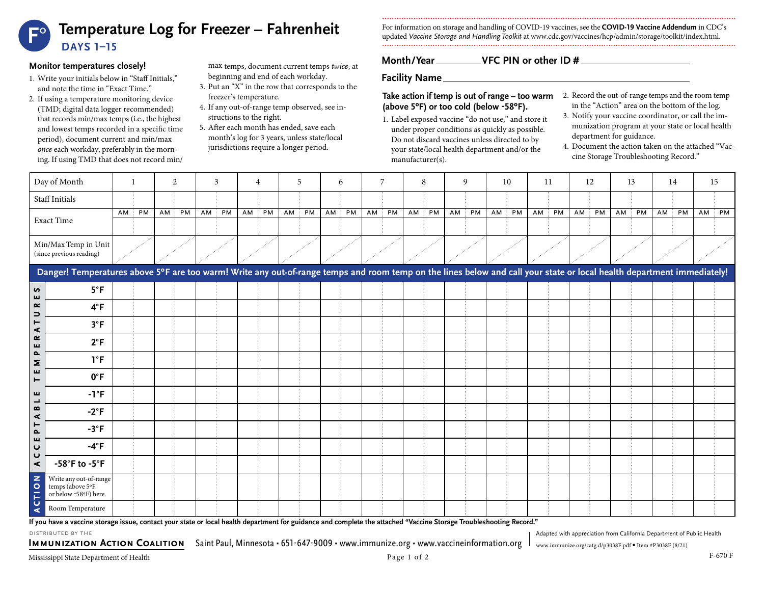# **Temperature Log for Freezer – Fahrenheit DAYS 1–15 F**°

### **Monitor temperatures closely!**

- 1. Write your initials below in "Staff Initials," and note the time in "Exact Time."
- 2. If using a temperature monitoring device (TMD; digital data logger recommended) that records min/max temps (i.e., the highest and lowest temps recorded in a specific time period), document current and min/max *once* each workday, preferably in the morning. If using TMD that does not record min/
- max temps, document current temps *twice*, at beginning and end of each workday.
- 3. Put an "X" in the row that corresponds to the freezer's temperature.
- 4. If any out-of-range temp observed, see instructions to the right.
- 5. After each month has ended, save each month's log for 3 years, unless state/local jurisdictions require a longer period.

For information on storage and handling of COVID-19 vaccines, see the **COVID-19 Vaccine Addendum** in CDC's updated *Vaccine Storage and Handling Toolkit* at [www.cdc.gov/vaccines/hcp/admin/storage/toolkit/index.html](http://www.cdc.gov/vaccines/hcp/admin/storage/toolkit/index.html).

# **Month/Year VFC PIN or other ID #**

**Facility Name**

### **Take action if temp is out of range – too warm** 2. Record the out-of-range temps and the room temp **(above 5ºF) or too cold (below -58ºF).**

- 1. Label exposed vaccine "do not use," and store it under proper conditions as quickly as possible. Do not discard vaccines unless directed to by your state/local health department and/or the manufacturer(s).
- in the "Action" area on the bottom of the log.
- 3. Notify your vaccine coordinator, or call the immunization program at your state or local health department for guidance.
- 4. Document the action taken on the attached "Vaccine Storage Troubleshooting Record."

Adapted with appreciation from California Department of Public Health

| Day of Month                                                                                                                                                           |                                                                     |        | -1        |  | 2     |        | 3  |        | 4  | 5     |  | 6     |       | 7 | 8     |    | 9  | 10        | 11    |  | 12    | 13        | 14 |    | 15        |
|------------------------------------------------------------------------------------------------------------------------------------------------------------------------|---------------------------------------------------------------------|--------|-----------|--|-------|--------|----|--------|----|-------|--|-------|-------|---|-------|----|----|-----------|-------|--|-------|-----------|----|----|-----------|
|                                                                                                                                                                        | Staff Initials                                                      |        |           |  |       |        |    |        |    |       |  |       |       |   |       |    |    |           |       |  |       |           |    |    |           |
|                                                                                                                                                                        | <b>Exact Time</b>                                                   | $AM$ : | <b>PM</b> |  | AM PM | $AM$ : | PM | $AM$ : | PM | AM PM |  | AM PM | AM PM |   | AM PM | AM | PM | $AM$ $PM$ | AM PM |  | AM PM | $AM$ $PM$ | AM | PM | $AM$ $PM$ |
|                                                                                                                                                                        |                                                                     |        |           |  |       |        |    |        |    |       |  |       |       |   |       |    |    |           |       |  |       |           |    |    |           |
|                                                                                                                                                                        | Min/Max Temp in Unit<br>(since previous reading)                    |        |           |  |       |        |    |        |    |       |  |       |       |   |       |    |    |           |       |  |       |           |    |    |           |
| Danger! Temperatures above 5°F are too warm! Write any out-of-range temps and room temp on the lines below and call your state or local health department immediately! |                                                                     |        |           |  |       |        |    |        |    |       |  |       |       |   |       |    |    |           |       |  |       |           |    |    |           |
| n<br>ш                                                                                                                                                                 | $5^{\circ}F$                                                        |        |           |  |       |        |    |        |    |       |  |       |       |   |       |    |    |           |       |  |       |           |    |    |           |
| œ<br>$\Rightarrow$                                                                                                                                                     | $4^{\circ}F$                                                        |        |           |  |       |        |    |        |    |       |  |       |       |   |       |    |    |           |       |  |       |           |    |    |           |
| ⊢<br>$\blacktriangleleft$                                                                                                                                              | $3^{\circ}F$                                                        |        |           |  |       |        |    |        |    |       |  |       |       |   |       |    |    |           |       |  |       |           |    |    |           |
| $\boldsymbol{\alpha}$<br>ш                                                                                                                                             | $2^{\circ}F$                                                        |        |           |  |       |        |    |        |    |       |  |       |       |   |       |    |    |           |       |  |       |           |    |    |           |
| Δ.<br>Σ                                                                                                                                                                | $1^{\circ}F$                                                        |        |           |  |       |        |    |        |    |       |  |       |       |   |       |    |    |           |       |  |       |           |    |    |           |
| ш<br>Н                                                                                                                                                                 | $0^{\circ}$ F                                                       |        |           |  |       |        |    |        |    |       |  |       |       |   |       |    |    |           |       |  |       |           |    |    |           |
| ш<br>پ                                                                                                                                                                 | $-1$ °F                                                             |        |           |  |       |        |    |        |    |       |  |       |       |   |       |    |    |           |       |  |       |           |    |    |           |
| B<br>⋖                                                                                                                                                                 | $-2^{\circ}F$                                                       |        |           |  |       |        |    |        |    |       |  |       |       |   |       |    |    |           |       |  |       |           |    |    |           |
| ۳<br>Δ.                                                                                                                                                                | $-3$ °F                                                             |        |           |  |       |        |    |        |    |       |  |       |       |   |       |    |    |           |       |  |       |           |    |    |           |
| ш<br>$\mathbf{\Omega}$                                                                                                                                                 | $-4^{\circ}F$                                                       |        |           |  |       |        |    |        |    |       |  |       |       |   |       |    |    |           |       |  |       |           |    |    |           |
| $\mathbf{\mathsf{C}}$<br>$\blacktriangleleft$                                                                                                                          | $-58^\circ$ F to $-5^\circ$ F                                       |        |           |  |       |        |    |        |    |       |  |       |       |   |       |    |    |           |       |  |       |           |    |    |           |
| <b>CTION</b>                                                                                                                                                           | Write any out-of-range<br>temps (above 5°F<br>or below -58°F) here. |        |           |  |       |        |    |        |    |       |  |       |       |   |       |    |    |           |       |  |       |           |    |    |           |
| ∢                                                                                                                                                                      | Room Temperature                                                    |        |           |  |       |        |    |        |    |       |  |       |       |   |       |    |    |           |       |  |       |           |    |    |           |

**If you have a vaccine storage issue, contact your state or local health department for guidance and complete the attached "Vaccine Storage Troubleshooting Record."**

distributed by the

**Immunization Action Coalition** Saint Paul, Minnesota • 651-647-9009 • www.immunize.org • www.vaccineinformation.org www.immunize.org/catg.d/p3038F.pdf • Item #P3038F (8/21)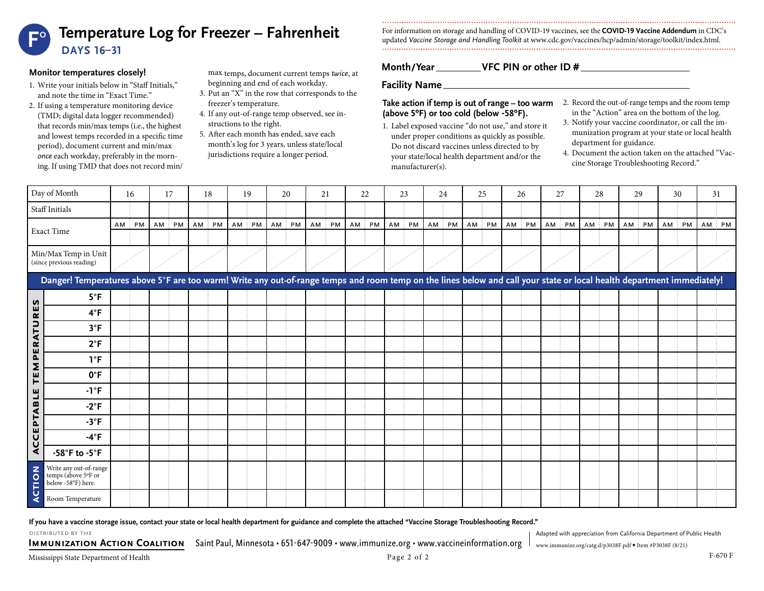

### **Monitor temperatures closely!**

- 1. Write your initials below in "Staff Initials," and note the time in "Exact Time."
- 2. If using a temperature monitoring device (TMD; digital data logger recommended) that records min/max temps (i.e., the highest and lowest temps recorded in a specific time period), document current and min/max *once* each workday, preferably in the morning. If using TMD that does not record min/

max temps, document current temps *twice*, at beginning and end of each workday.

- 3. Put an "X" in the row that corresponds to the freezer's temperature.
- 4. If any out-of-range temp observed, see instructions to the right.
- 5. After each month has ended, save each month's log for 3 years, unless state/local jurisdictions require a longer period.

For information on storage and handling of COVID-19 vaccines, see the **COVID-19 Vaccine Addendum** in CDC's updated *Vaccine Storage and Handling Toolkit* at [www.cdc.gov/vaccines/hcp/admin/storage/toolkit/index.html](http://www.cdc.gov/vaccines/hcp/admin/storage/toolkit/index.html).

# **Month/Year VFC PIN or other ID #**

**Facility Name**

### **Take action if temp is out of range – too warm** 2. Record the out-of-range temps and the room temp **(above 5ºF) or too cold (below -58ºF).**

- 1. Label exposed vaccine "do not use," and store it under proper conditions as quickly as possible. Do not discard vaccines unless directed to by your state/local health department and/or the manufacturer(s).
- in the "Action" area on the bottom of the log.
- 3. Notify your vaccine coordinator, or call the immunization program at your state or local health department for guidance.
- 4. Document the action taken on the attached "Vaccine Storage Troubleshooting Record."

| Day of Month                            |                                                                                                                                                                        | 16              | 17       | 18           | 19       | 20       | 21        | 22              | 23       | 24    | 25        | 26    | 27    | 28    | 29    | 30        | 31    |
|-----------------------------------------|------------------------------------------------------------------------------------------------------------------------------------------------------------------------|-----------------|----------|--------------|----------|----------|-----------|-----------------|----------|-------|-----------|-------|-------|-------|-------|-----------|-------|
| Staff Initials                          |                                                                                                                                                                        |                 |          |              |          |          |           |                 |          |       |           |       |       |       |       |           |       |
|                                         | <b>Exact Time</b>                                                                                                                                                      | AM<br><b>PM</b> | AM<br>PM | $AM$ :<br>PM | AM<br>PM | PM<br>AM | $AM$ $PM$ | AM<br><b>PM</b> | AM<br>PM | AM PM | $AM$ $PM$ | AM PM | AM PM | AM PM | AM PM | $AM$ $PM$ | AM PM |
|                                         |                                                                                                                                                                        |                 |          |              |          |          |           |                 |          |       |           |       |       |       |       |           |       |
|                                         | Min/Max Temp in Unit<br>(since previous reading)                                                                                                                       |                 |          |              |          |          |           |                 |          |       |           |       |       |       |       |           |       |
|                                         | Danger! Temperatures above 5°F are too warm! Write any out-of-range temps and room temp on the lines below and call your state or local health department immediately! |                 |          |              |          |          |           |                 |          |       |           |       |       |       |       |           |       |
|                                         | $5^{\circ}F$                                                                                                                                                           |                 |          |              |          |          |           |                 |          |       |           |       |       |       |       |           |       |
| ES<br>$\boldsymbol{\underline{\alpha}}$ | $4^{\circ}F$                                                                                                                                                           |                 |          |              |          |          |           |                 |          |       |           |       |       |       |       |           |       |
| PERATU<br>Σ                             | $3^{\circ}F$                                                                                                                                                           |                 |          |              |          |          |           |                 |          |       |           |       |       |       |       |           |       |
|                                         | $2^{\circ}F$                                                                                                                                                           |                 |          |              |          |          |           |                 |          |       |           |       |       |       |       |           |       |
|                                         | $1^{\circ}F$                                                                                                                                                           |                 |          |              |          |          |           |                 |          |       |           |       |       |       |       |           |       |
| FE                                      | $0^{\circ}$ F                                                                                                                                                          |                 |          |              |          |          |           |                 |          |       |           |       |       |       |       |           |       |
| ш                                       | $-1^{\circ}F$                                                                                                                                                          |                 |          |              |          |          |           |                 |          |       |           |       |       |       |       |           |       |
| $\overline{B}$                          | $-2$ °F                                                                                                                                                                |                 |          |              |          |          |           |                 |          |       |           |       |       |       |       |           |       |
| CEPTA                                   | $-3$ °F                                                                                                                                                                |                 |          |              |          |          |           |                 |          |       |           |       |       |       |       |           |       |
| Ū                                       | $-4^{\circ}$ F                                                                                                                                                         |                 |          |              |          |          |           |                 |          |       |           |       |       |       |       |           |       |
| ⋖                                       | $-58^\circ$ F to $-5^\circ$ F                                                                                                                                          |                 |          |              |          |          |           |                 |          |       |           |       |       |       |       |           |       |
| CTION                                   | Write any out-of-range<br>temps (above 5°F or<br>below -58°F) here.                                                                                                    |                 |          |              |          |          |           |                 |          |       |           |       |       |       |       |           |       |
| ⋖                                       | Room Temperature                                                                                                                                                       |                 |          |              |          |          |           |                 |          |       |           |       |       |       |       |           |       |

#### **If you have a vaccine storage issue, contact your state or local health department for guidance and complete the attached "Vaccine Storage Troubleshooting Record."**

DISTRIBUTED BY THE **STATES ASSESSIGNS OF A CONSTRUCTED BY THE** ADAPTED BY THE ADAPTED BY THE ADAPTED BY THE ADAPTED ASSESSIGN FROM CALIFORNIA DEPARTMENT OF Public Health

**IMMUNIZATION ACTION COALITION** Saint Paul, Minnesota • 651-647-9009 • www.immunize.org • www.vaccineinformation.org [www.immunize.org/catg.d/p3038F.pdf](http://www.immunize.org/catg.d/p3038F.pdf) • Item #P3038F (8/21)

Mississippi State Department of Health F-670 F  $P$  age 2 of 2 F-670 F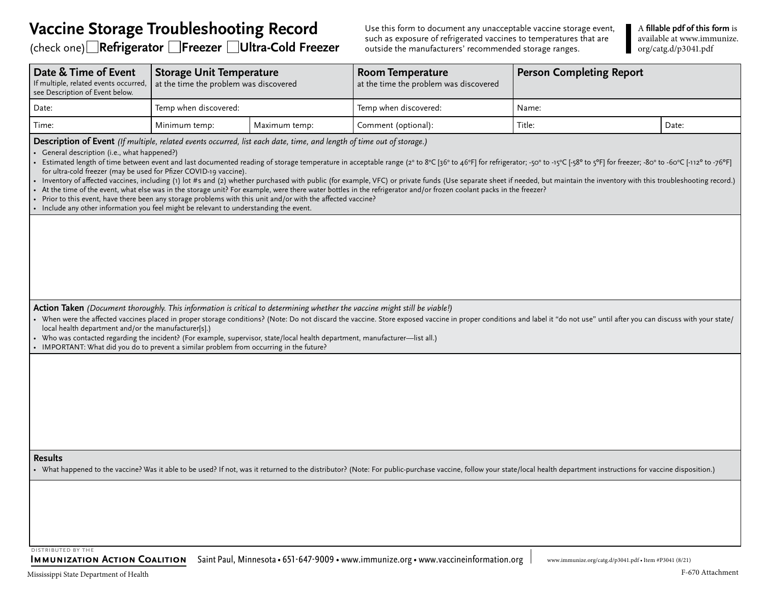# **Vaccine Storage Troubleshooting Record**

(check one) **Refrigerator Freezer Ultra-Cold Freezer**

Use this form to document any unacceptable vaccine storage event, such as exposure of refrigerated vaccines to temperatures that are outside the manufacturers' recommended storage ranges.

A **fillable pdf of this form** is available at [www.immunize.](http://www.immunize.org/catg.d/p3041.pdf) [org/catg.d/p3041.pdf](http://www.immunize.org/catg.d/p3041.pdf)

| Date & Time of Event<br>If multiple, related events occurred,<br>see Description of Event below.                                                                                                                                                                                                                                                                                                                                                                                                                                                                                                                                                                                                                                                                                                                                                                                                                                                                                                                                                                                         | <b>Storage Unit Temperature</b><br>at the time the problem was discovered |               | <b>Room Temperature</b><br>at the time the problem was discovered                                                                                                                                                          | <b>Person Completing Report</b> |       |  |  |  |  |  |
|------------------------------------------------------------------------------------------------------------------------------------------------------------------------------------------------------------------------------------------------------------------------------------------------------------------------------------------------------------------------------------------------------------------------------------------------------------------------------------------------------------------------------------------------------------------------------------------------------------------------------------------------------------------------------------------------------------------------------------------------------------------------------------------------------------------------------------------------------------------------------------------------------------------------------------------------------------------------------------------------------------------------------------------------------------------------------------------|---------------------------------------------------------------------------|---------------|----------------------------------------------------------------------------------------------------------------------------------------------------------------------------------------------------------------------------|---------------------------------|-------|--|--|--|--|--|
| Date:                                                                                                                                                                                                                                                                                                                                                                                                                                                                                                                                                                                                                                                                                                                                                                                                                                                                                                                                                                                                                                                                                    | Temp when discovered:                                                     |               | Temp when discovered:                                                                                                                                                                                                      | Name:                           |       |  |  |  |  |  |
| Time:                                                                                                                                                                                                                                                                                                                                                                                                                                                                                                                                                                                                                                                                                                                                                                                                                                                                                                                                                                                                                                                                                    | Minimum temp:                                                             | Maximum temp: | Comment (optional):                                                                                                                                                                                                        | Title:                          | Date: |  |  |  |  |  |
| Description of Event (If multiple, related events occurred, list each date, time, and length of time out of storage.)<br>General description (i.e., what happened?)<br>First particles and last documented reading of storage temperature in acceptable range (2° to 8°C [36° to 46°F] for refrigerator; -50° to -15°C [-58° to 5°F] for freezer; -80° to -60°C [-112° to -76°F] for set all alst do<br>for ultra-cold freezer (may be used for Pfizer COVID-19 vaccine).<br>Inventory of affected vaccines, including (1) lot #s and (2) whether purchased with public (for example, VFC) or private funds (Use separate sheet if needed, but maintain the inventory with this troubleshooting record.)<br>• At the time of the event, what else was in the storage unit? For example, were there water bottles in the refrigerator and/or frozen coolant packs in the freezer?<br>Prior to this event, have there been any storage problems with this unit and/or with the affected vaccine?<br>• Include any other information you feel might be relevant to understanding the event. |                                                                           |               |                                                                                                                                                                                                                            |                                 |       |  |  |  |  |  |
| Action Taken (Document thoroughly. This information is critical to determining whether the vaccine might still be viable!)<br>local health department and/or the manufacturer[s].)<br>Who was contacted regarding the incident? (For example, supervisor, state/local health department, manufacturer-list all.)                                                                                                                                                                                                                                                                                                                                                                                                                                                                                                                                                                                                                                                                                                                                                                         |                                                                           |               | Noten were the affected vaccines placed in proper storage conditions? (Note: Do not discard the vaccine. Store exposed vaccine in proper conditions and label it "do not use" until after you can discuss with your state/ |                                 |       |  |  |  |  |  |
| • IMPORTANT: What did you do to prevent a similar problem from occurring in the future?<br><b>Results</b>                                                                                                                                                                                                                                                                                                                                                                                                                                                                                                                                                                                                                                                                                                                                                                                                                                                                                                                                                                                |                                                                           |               | • What happened to the vaccine? Was it able to be used? If not, was it returned to the distributor? (Note: For public-purchase vaccine, follow your state/local health department instructions for vaccine disposition.)   |                                 |       |  |  |  |  |  |
|                                                                                                                                                                                                                                                                                                                                                                                                                                                                                                                                                                                                                                                                                                                                                                                                                                                                                                                                                                                                                                                                                          |                                                                           |               |                                                                                                                                                                                                                            |                                 |       |  |  |  |  |  |

distributed by the

IMMUNIZATION ACTION COALITION Saint Paul, Minnesota • 651-647-9009 • www.immunize.org • www.vaccineinformation.org [www.immunize.org/catg.d/p3041.pdf](http://www.immunize.org/catg.d/p3041.pdf) • Item #P3041 (8/21)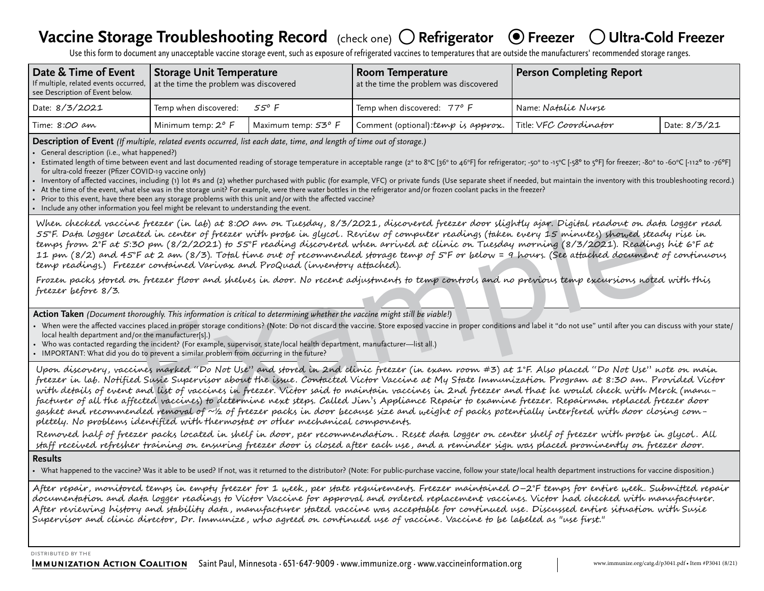# **Vaccine Storage Troubleshooting Record** (check one) ○ Refrigerator ● Freezer ○ Ultra-Cold Freezer

Use this form to document any unacceptable vaccine storage event, such as exposure of refrigerated vaccines to temperatures that are outside the manufacturers' recommended storage ranges.

| Date & Time of Event<br>If multiple, related events occurred,<br>see Description of Event below. | <b>Storage Unit Temperature</b><br>at the time the problem was discovered |                     | Room Temperature<br>at the time the problem was discovered | Person Completing Report |              |  |  |  |
|--------------------------------------------------------------------------------------------------|---------------------------------------------------------------------------|---------------------|------------------------------------------------------------|--------------------------|--------------|--|--|--|
| Date: 8/3/2021                                                                                   | Temp when discovered:                                                     | 55º F               | Temp when discovered: 77° F                                | Name: Natalie Nurse      |              |  |  |  |
| Time: 8:00 am                                                                                    | Minimum temp: $2^o$ F                                                     | Maximum temp: 53° F | Comment (optional): temp is approx.                        | Title: VFC Coordinator   | Date: 8/3/21 |  |  |  |

**Description of Event** *(If multiple, related events occurred, list each date, time, and length of time out of storage.)*

• General description (i.e., what happened?)

• Estimated length of time between event and last documented reading of storage temperature in acceptable range (2° to 8°C [36° to 46°F] for refrigerator; -50° to -15°C [-38° to 5°F] for freezer; -80° to -60°C [-112° to for ultra-cold freezer (Pfizer COVID-19 vaccine only)

Inventory of affected vaccines, including (1) lot #s and (2) whether purchased with public (for example, VFC) or private funds (Use separate sheet if needed, but maintain the inventory with this troubleshooting record.)

At the time of the event, what else was in the storage unit? For example, were there water bottles in the refrigerator and/or frozen coolant packs in the freezer?

• Prior to this event, have there been any storage problems with this unit and/or with the affected vaccine?

• Include any other information you feel might be relevant to understanding the event.

When checked vaccine freezer (in lab) at 8:00 am on Tuesday, 8/3/2021, discovered freezer door slightly ajar. Digital readout on data logger read 55°F. Data logger located in center of freezer with probe in glycol . Review of computer readings (taken every 15 minutes) showed steady rise in temps from 2°F at 5:30 pm (8/2/2021) to 55°F reading discovered when arrived at clinic on Tuesday morning (8/3/2021). Readings hit 6°F at 11 pm (8/2) and 45°F at 2 am (8/3). Total time out of recommended storage temp of 5°F or below = 9 hours. (See attached document of continuous temp readings.) Freezer contained Varivax and ProQuad (inventory attached).

Frozen packs stored on freezer floor and shelves in door. No recent adjustments to temp controls and no previous temp excursions noted with this freezer before 8/3.

**Action Taken** *(Document thoroughly. This information is critical to determining whether the vaccine might still be viable!)* 

- When were the affected vaccines placed in proper storage conditions? (Note: Do not discard the vaccine. Store exposed vaccine in proper conditions and label it "do not use" until after you can discuss with your state/ local health department and/or the manufacturer[s].)
- Who was contacted regarding the incident? (For example, supervisor, state/local health department, manufacturer—list all.)

• IMPORTANT: What did you do to prevent a similar problem from occurring in the future?

freezer (in lab) at 8:00 am on Tuesday, 8/3/2021, discovered freezer door slightly ajan. Digital readom on the<br>red in center of freezer with probe in glycol. Review of computer readings (taken every 15 minute) showed the<br>1 Upon discovery, vaccines marked "Do Not Use" and stored in 2nd clinic freezer (in exam room #3) at 1°F. Also placed "Do Not Use" note on main freezer in lab. Notified Susie Supervisor about the issue. Contacted Victor Vaccine at My State Immunization Program at 8:30 am. Provided Victor with details of event and list of vaccines in freezer. Victor said to maintain vaccines in 2nd freezer and that he would check with Merck (manufacturer of all the affected vaccines) to determine next steps. Called Jim's Appliance Repair to examine freezer. Repairman replaced freezer door gasket and recommended removal of ~½ of freezer packs in door because size and weight of packs potentially interfered with door closing completely. No problems identified with thermostat or other mechanical components.

Removed half of freezer packs located in shelf in door, per recommendation . Reset data logger on center shelf of freezer with probe in glycol . All staff received refresher training on ensuring freezer door is closed after each use, and a reminder sign was placed prominently on freezer door.

### **Results**

• What happened to the vaccine? Was it able to be used? If not, was it returned to the distributor? (Note: For public-purchase vaccine, follow your state/local health department instructions for vaccine disposition.)

After repair, monitored temps in empty freezer for 1 week , per state requirements. Freezer maintained 0–2°F temps for entire week. Submitted repair documentation and data logger readings to Victor Vaccine for approval and ordered replacement vaccines. Victor had checked with manufacturer. After reviewing history and stability data , manufacturer stated vaccine was acceptable for continued use. Discussed entire situation with Susie Supervisor and clinic director, Dr. Immunize , who agreed on continued use of vaccine. Vaccine to be labeled as "use first."

#### distributed by the